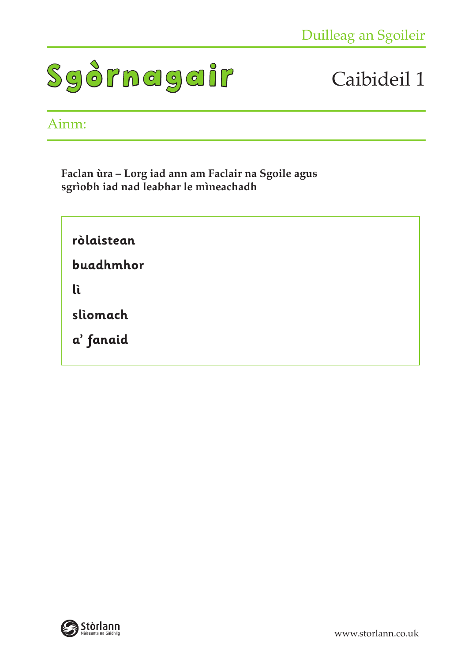

#### Ainm:

**Faclan ùra – Lorg iad ann am Faclair na Sgoile agus sgrìobh iad nad leabhar le mìneachadh**

**ròlaistean buadhmhor lì slìomach a' fanaid**

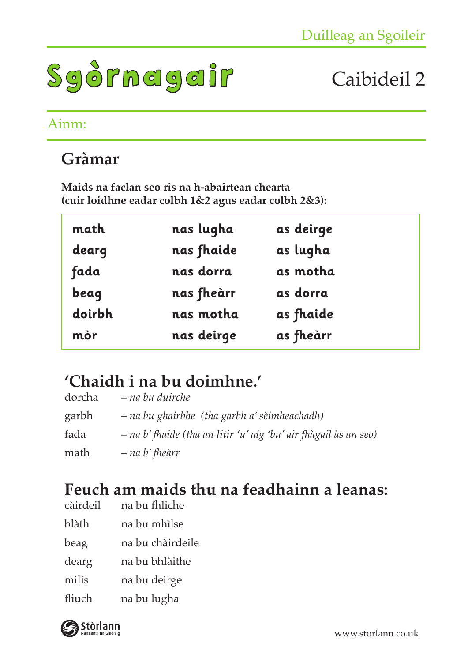

#### Ainm:

### **Gràmar**

**Maids na faclan seo ris na h-abairtean chearta (cuir loidhne eadar colbh 1&2 agus eadar colbh 2&3):**

| math   | nas lugha  | as deirge |
|--------|------------|-----------|
| dearg  | nas fhaide | as lugha  |
| fada   | nas dorra  | as motha  |
| beag   | nas fheàrr | as dorra  |
| doirbh | nas motha  | as fhaide |
| mòr    | nas deirge | as fheàrr |

### **'Chaidh i na bu doimhne.'**

| dorcha | – na bu duirche                                                  |
|--------|------------------------------------------------------------------|
| garbh  | – na bu ghairbhe (tha garbh a' sèimheachadh)                     |
| fada   | - na b' fhaide (tha an litir 'u' aig 'bu' air fhàgail às an seo) |
| math   | – na b' fheàrr                                                   |

# **Feuch am maids thu na feadhainn a leanas:**

- na bu fhliche
- blàth na bu mhìlse
- beag na bu chàirdeile
- dearg na bu bhlàithe
- milis na bu deirge
- fliuch na bu lugha

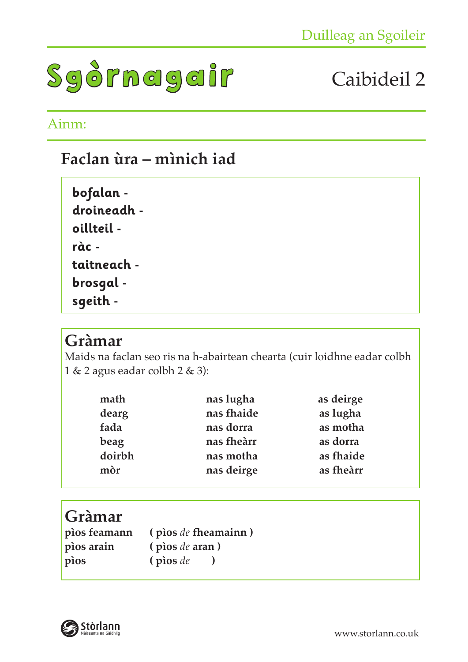

### Ainm:

### **Faclan ùra – mìnich iad**

| bofalan -                           |
|-------------------------------------|
| droineadh -                         |
| oillteil -                          |
| ràc -                               |
| taitneach -                         |
| brosgal<br>$\overline{\phantom{a}}$ |
| sqeith -                            |

#### **Gràmar**

Maids na faclan seo ris na h-abairtean chearta (cuir loidhne eadar colbh 1 & 2 agus eadar colbh 2 & 3):

| math   | nas lugha  | as deirge |
|--------|------------|-----------|
| dearg  | nas fhaide | as lugha  |
| fada   | nas dorra  | as motha  |
| beag   | nas fheàrr | as dorra  |
| doirbh | nas motha  | as fhaide |
| mòr    | nas deirge | as fheàrr |

### **Gràmar**

| pios feamann | $\phi$ (pios de fheamainn) |
|--------------|----------------------------|
| pios arain   | (pios <i>de</i> aran)      |
| pios         | $(p)$ (pios de             |

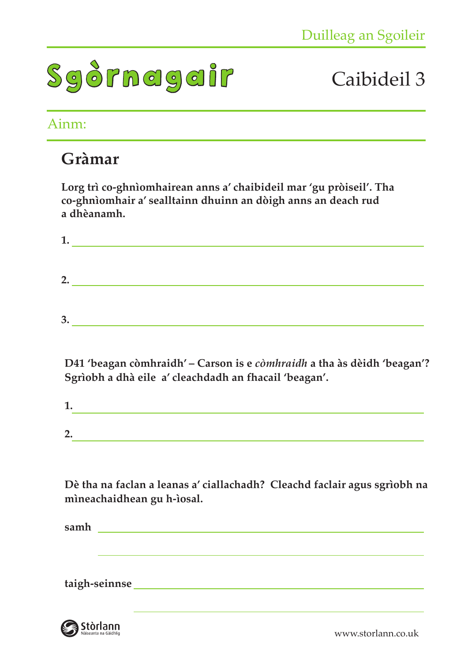

#### Ainm:

### **Gràmar**

**Lorg trì co-ghnìomhairean anns a' chaibideil mar 'gu pròiseil'. Tha co-ghnìomhair a' sealltainn dhuinn an dòigh anns an deach rud a dhèanamh.**

**3.**

| 1. |  |  |  |
|----|--|--|--|
|    |  |  |  |
| 2. |  |  |  |
|    |  |  |  |
|    |  |  |  |

**D41 'beagan còmhraidh' – Carson is e** *còmhraidh* **a tha às dèidh 'beagan'? Sgrìobh a dhà eile a' cleachdadh an fhacail 'beagan'.**

**Dè tha na faclan a leanas a' ciallachadh? Cleachd faclair agus sgrìobh na mìneachaidhean gu h-ìosal.**

**samh**

**taigh-seinnse** 

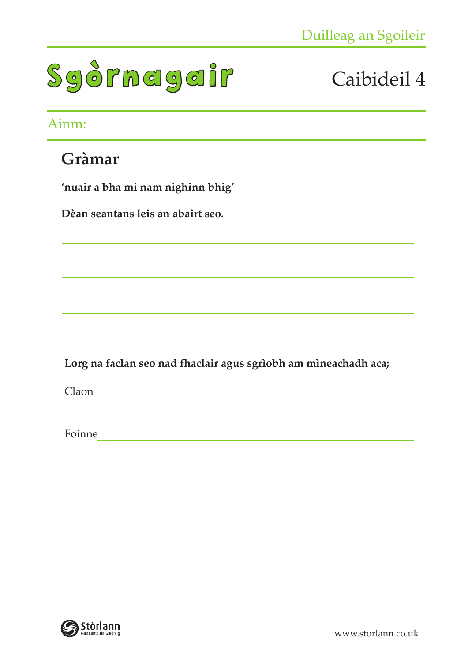

### Ainm:

### **Gràmar**

**'nuair a bha mi nam nighinn bhig'**

**Dèan seantans leis an abairt seo.**

**Lorg na faclan seo nad fhaclair agus sgrìobh am mìneachadh aca;**

Claon

Foinne

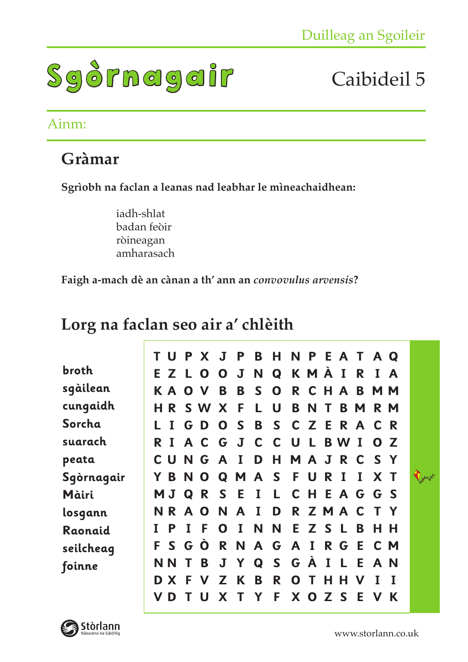

#### Ainm:

### **Gràmar**

**Sgrìobh na faclan a leanas nad leabhar le mìneachaidhean:**

iadh-shlat badan feòir ròineagan amharasach

**Faigh a-mach dè an cànan a th' ann an** *convovulus arvensis***?** 

### **Lorg na faclan seo air a' chlèith**

|            | T U |              | P X             | $\bf J$     | <b>P</b>     | $\mathbf{B}$ | $\mathsf{H}$    | <b>NPEATAQ</b> |              |   |              |             |                |             |              |
|------------|-----|--------------|-----------------|-------------|--------------|--------------|-----------------|----------------|--------------|---|--------------|-------------|----------------|-------------|--------------|
| broth      | E Z | -L.          | $\mathbf 0$     | O           | J            | N            | Q               | KMÀ            |              |   | $\bf I$      | R           | $\mathbf{I}$   | A           |              |
| sgàilean   | K A | $\mathbf{O}$ | $\mathbf v$     | B           | B            | S —          | $\mathbf 0$     |                | R C H        |   | $\mathbf{A}$ | B           | M <sub>M</sub> |             |              |
| cungaidh   | HR. |              | S W             | X           | -F           | L            | U               | B              | N            | T | B            | M           |                | R M         |              |
| Sorcha     |     |              | GD <sub>0</sub> |             | S            | B            | <b>SCZERACR</b> |                |              |   |              |             |                |             |              |
| suarach    | R I |              | A C G J         |             |              | $\mathbf C$  | $\mathbf C$     | <b>U</b>       | $\mathsf{L}$ |   | <b>B</b> W   | $\bf{I}$    | $\mathbf{O}$   | $\mathbb Z$ |              |
| peata      | C U |              | NGAI            |             |              | D            | - H             |                |              |   | MAJRC        |             | SY             |             |              |
| Sgòrnagair | Y B | N            | $\mathbf 0$     | Q           | MAS          |              |                 |                | F U          | R | I            | $\bf{I}$    | X              |             | <b>Varia</b> |
| Màiri      |     | MJQ          |                 |             | <b>RSEI</b>  |              | L C H E A G G S |                |              |   |              |             |                |             |              |
| losgann    |     |              | NRAO            | <b>N</b>    | $\mathbf{A}$ | $\mathbf{I}$ | D               |                |              |   |              |             | <b>RZMACTY</b> |             |              |
| Raonaid    | P   |              | F               | O           | $\mathbf{I}$ | N            | N               |                | E Z S        |   | $\mathbb{L}$ | B           | н              | <b>H</b>    |              |
| seilcheag  | F S | $\mathbf G$  | $\overline{O}$  | $\mathbf R$ | N            |              | A G A I         |                |              |   | R G E        |             |                | C M         |              |
| foinne     | N N |              | B               |             | J Y Q        |              | <b>SGÀILEAN</b> |                |              |   |              |             |                |             |              |
|            | D X | -F           | $\mathbf v$     | Z           | K B          |              | R.              |                | O T          | н | н            | $\mathbf v$ | I              |             |              |
|            | D   |              |                 | X           |              | Y            | F.              |                | X O Z        |   | -S           | Е           |                | K           |              |

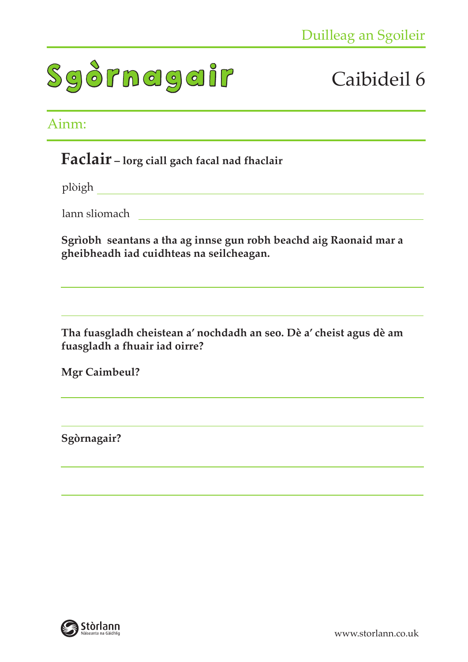# Caibideil 6

#### Ainm:

#### **Faclair – lorg ciall gach facal nad fhaclair**

plòigh

lann sliomach

**Sgrìobh seantans a tha ag innse gun robh beachd aig Raonaid mar a gheibheadh iad cuidhteas na seilcheagan.**

<u> 1989 - Johann Stein, mars an de Frankrik (f. 1989)</u>

**Tha fuasgladh cheistean a' nochdadh an seo. Dè a' cheist agus dè am fuasgladh a fhuair iad oirre?**

**Mgr Caimbeul?**

**Sgòrnagair?**

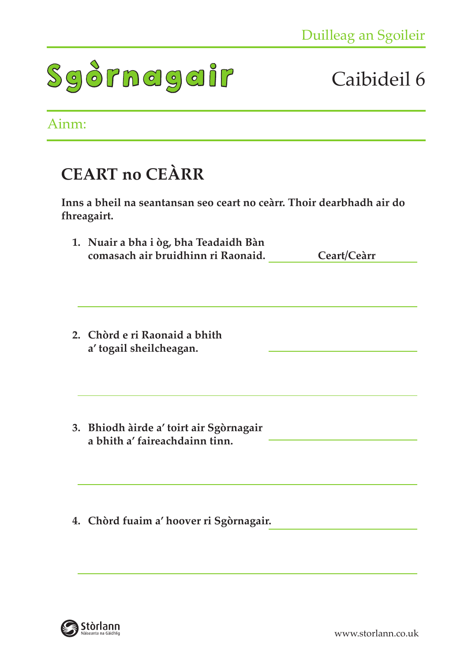# Caibideil 6

#### Ainm:

### **CEART no CEÀRR**

**Inns a bheil na seantansan seo ceart no ceàrr. Thoir dearbhadh air do fhreagairt.**

- **1. Nuair a bha i òg, bha Teadaidh Bàn comasach air bruidhinn ri Raonaid. Ceart/Ceàrr**
- **2. Chòrd e ri Raonaid a bhith a' togail sheilcheagan.**
- **3. Bhiodh àirde a' toirt air Sgòrnagair a bhith a' faireachdainn tinn.**
- **4. Chòrd fuaim a' hoover ri Sgòrnagair.**

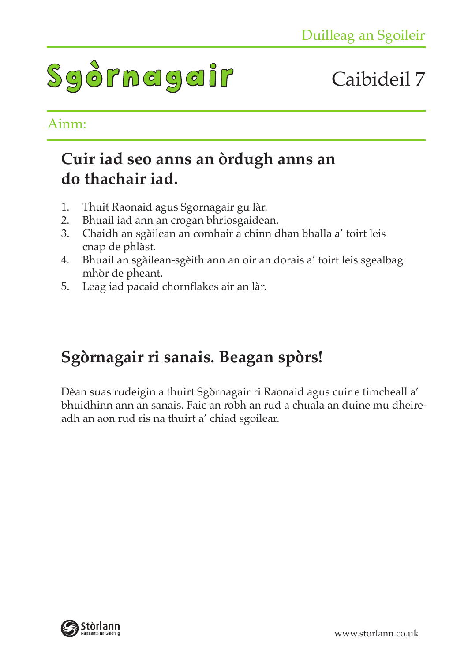# Caibideil 7

#### Ainm:

### **Cuir iad seo anns an òrdugh anns an do thachair iad.**

- 1. Thuit Raonaid agus Sgornagair gu làr.
- 2. Bhuail iad ann an crogan bhriosgaidean.
- 3. Chaidh an sgàilean an comhair a chinn dhan bhalla a' toirt leis cnap de phlàst.
- 4. Bhuail an sgàilean-sgèith ann an oir an dorais a' toirt leis sgealbag mhòr de pheant.
- 5. Leag iad pacaid chornflakes air an làr.

### **Sgòrnagair ri sanais. Beagan spòrs!**

Dèan suas rudeigin a thuirt Sgòrnagair ri Raonaid agus cuir e timcheall a' bhuidhinn ann an sanais. Faic an robh an rud a chuala an duine mu dheireadh an aon rud ris na thuirt a' chiad sgoilear.

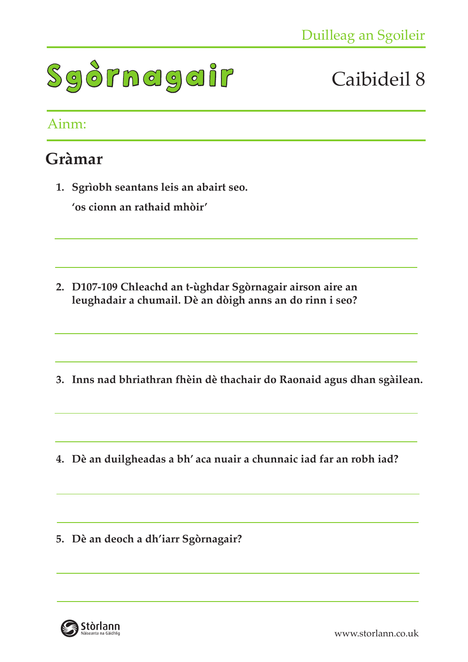

#### Ainm:

### **Gràmar**

**1. Sgrìobh seantans leis an abairt seo. 'os cionn an rathaid mhòir'**

- **2. D107-109 Chleachd an t-ùghdar Sgòrnagair airson aire an leughadair a chumail. Dè an dòigh anns an do rinn i seo?**
- **3. Inns nad bhriathran fhèin dè thachair do Raonaid agus dhan sgàilean.**
- **4. Dè an duilgheadas a bh' aca nuair a chunnaic iad far an robh iad?**

**5. Dè an deoch a dh'iarr Sgòrnagair?** 

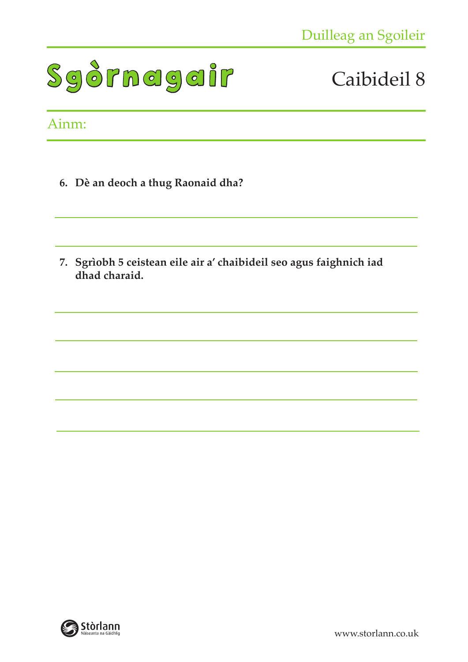# Caibideil 8

#### Ainm:

- **6. Dè an deoch a thug Raonaid dha?**
- **7. Sgrìobh 5 ceistean eile air a' chaibideil seo agus faighnich iad dhad charaid.**

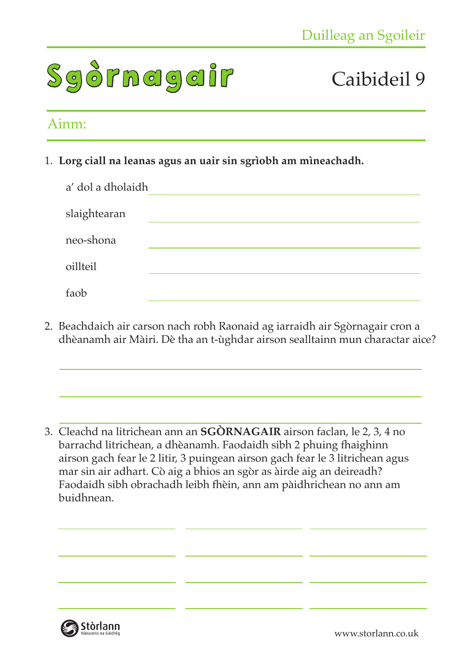

#### Ainm:

1. **Lorg ciall na leanas agus an uair sin sgrìobh am mìneachadh.**

| a' dol a dholaidh |  |
|-------------------|--|
| slaightearan      |  |
| neo-shona         |  |
| oillteil          |  |
| faob              |  |

2. Beachdaich air carson nach robh Raonaid ag iarraidh air Sgòrnagair cron a dhèanamh air Màiri. Dè tha an t-ùghdar airson sealltainn mun charactar aice?

3. Cleachd na litrichean ann an **SGÒRNAGAIR** airson faclan, le 2, 3, 4 no barrachd litrichean, a dhèanamh. Faodaidh sibh 2 phuing fhaighinn airson gach fear le 2 litir, 3 puingean airson gach fear le 3 litrichean agus mar sin air adhart. Cò aig a bhios an sgòr as àirde aig an deireadh? Faodaidh sibh obrachadh leibh fhèin, ann am pàidhrichean no ann am buidhnean.

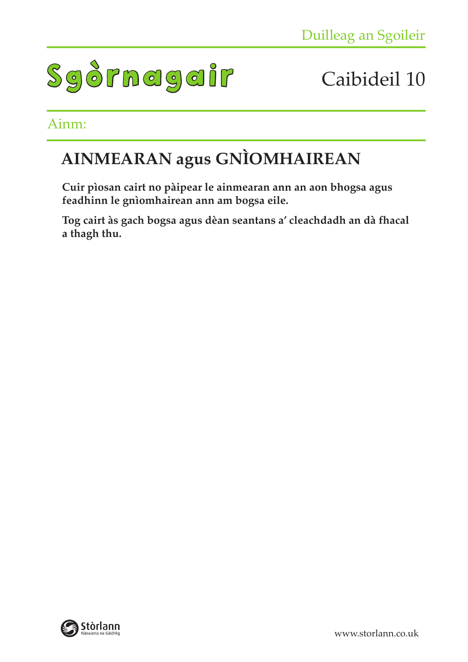

#### Ainm:

### **AINMEARAN agus GNÌOMHAIREAN**

**Cuir pìosan cairt no pàipear le ainmearan ann an aon bhogsa agus feadhinn le gnìomhairean ann am bogsa eile.**

**Tog cairt às gach bogsa agus dèan seantans a' cleachdadh an dà fhacal a thagh thu.** 

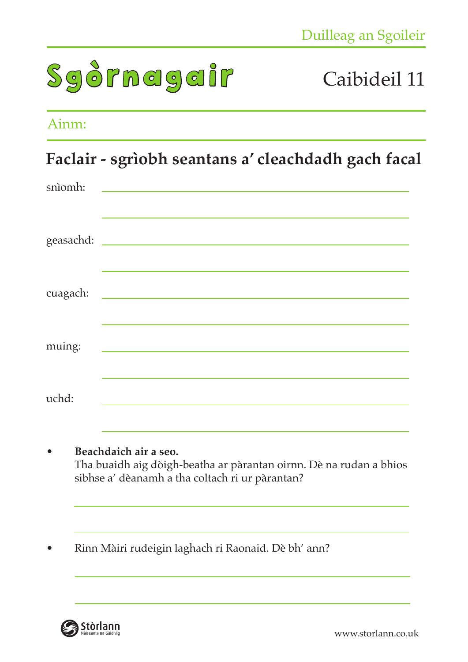

#### Ainm:

### **Faclair - sgrìobh seantans a' cleachdadh gach facal**

| snìomh:  | <u> 1989 - Jan James James James James James James James James James James James James James James James James J</u> |
|----------|----------------------------------------------------------------------------------------------------------------------|
|          |                                                                                                                      |
| cuagach: |                                                                                                                      |
| muing:   | <u> 1989 - Johann Barn, mars ar breithinn ar chuid ann an t-</u>                                                     |
| uchd:    |                                                                                                                      |

- **Beachdaich air a seo.** Tha buaidh aig dòigh-beatha ar pàrantan oirnn. Dè na rudan a bhios sibhse a' dèanamh a tha coltach ri ur pàrantan?
- Rinn Màiri rudeigin laghach ri Raonaid. Dè bh' ann?